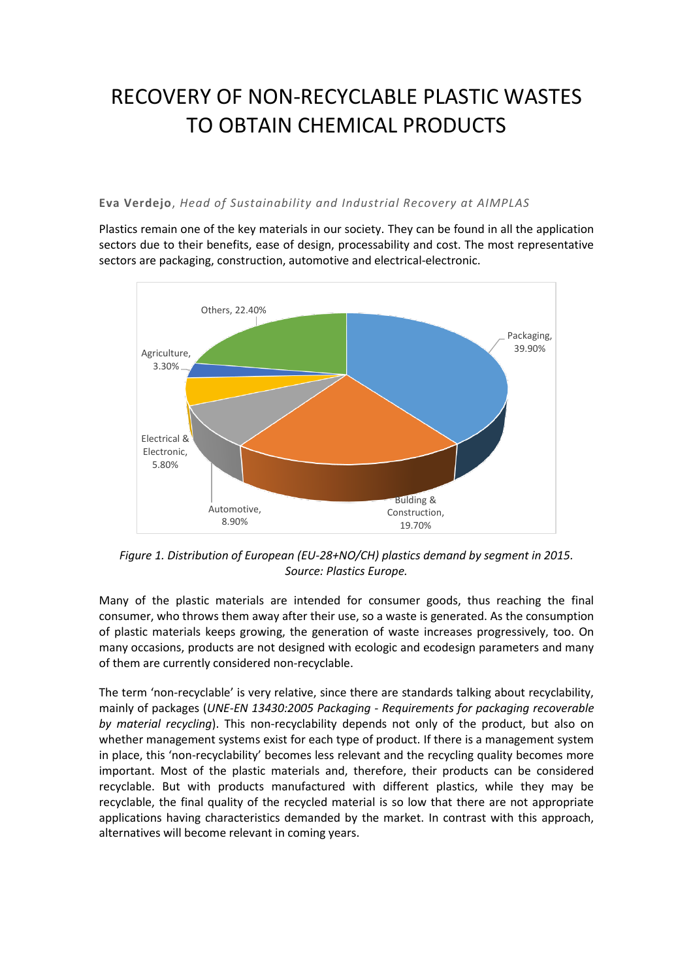## RECOVERY OF NON-RECYCLABLE PLASTIC WASTES TO OBTAIN CHEMICAL PRODUCTS

## **Eva Verdejo**, *Head of Sustainability and Industrial Recovery at AIMPLAS*

Plastics remain one of the key materials in our society. They can be found in all the application sectors due to their benefits, ease of design, processability and cost. The most representative sectors are packaging, construction, automotive and electrical-electronic.



*Figure 1. Distribution of European (EU-28+NO/CH) plastics demand by segment in 2015. Source: Plastics Europe.*

Many of the plastic materials are intended for consumer goods, thus reaching the final consumer, who throws them away after their use, so a waste is generated. As the consumption of plastic materials keeps growing, the generation of waste increases progressively, too. On many occasions, products are not designed with ecologic and ecodesign parameters and many of them are currently considered non-recyclable.

The term 'non-recyclable' is very relative, since there are standards talking about recyclability, mainly of packages (*[UNE-EN 13430:2005](http://www.aenor.es/aenor/normas/normas/fichanorma.asp?tipo=N&codigo=N0032803&PDF=Si) Packaging - Requirements for packaging recoverable by material recycling*). This non-recyclability depends not only of the product, but also on whether management systems exist for each type of product. If there is a management system in place, this 'non-recyclability' becomes less relevant and the recycling quality becomes more important. Most of the plastic materials and, therefore, their products can be considered recyclable. But with products manufactured with different plastics, while they may be recyclable, the final quality of the recycled material is so low that there are not appropriate applications having characteristics demanded by the market. In contrast with this approach, alternatives will become relevant in coming years.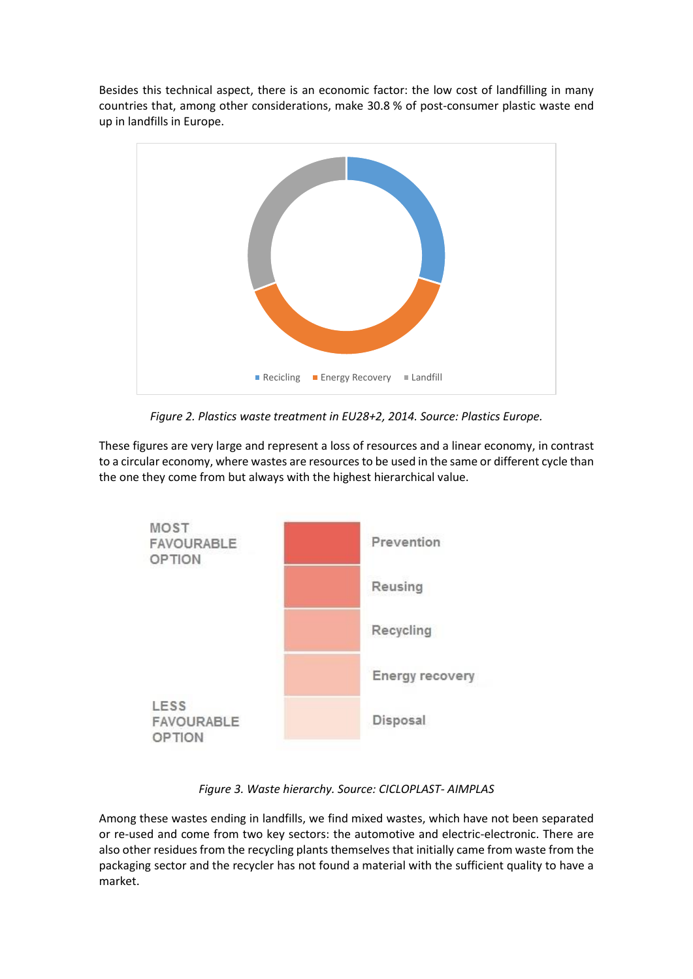Besides this technical aspect, there is an economic factor: the low cost of landfilling in many countries that, among other considerations, make 30.8 % of post-consumer plastic waste end up in landfills in Europe.



*Figure 2. Plastics waste treatment in EU28+2, 2014. Source: Plastics Europe.*

These figures are very large and represent a loss of resources and a linear economy, in contrast to a circular economy, where wastes are resources to be used in the same or different cycle than the one they come from but always with the highest hierarchical value.



*Figure 3. Waste hierarchy. Source: CICLOPLAST- AIMPLAS*

Among these wastes ending in landfills, we find mixed wastes, which have not been separated or re-used and come from two key sectors: the automotive and electric-electronic. There are also other residues from the recycling plants themselves that initially came from waste from the packaging sector and the recycler has not found a material with the sufficient quality to have a market.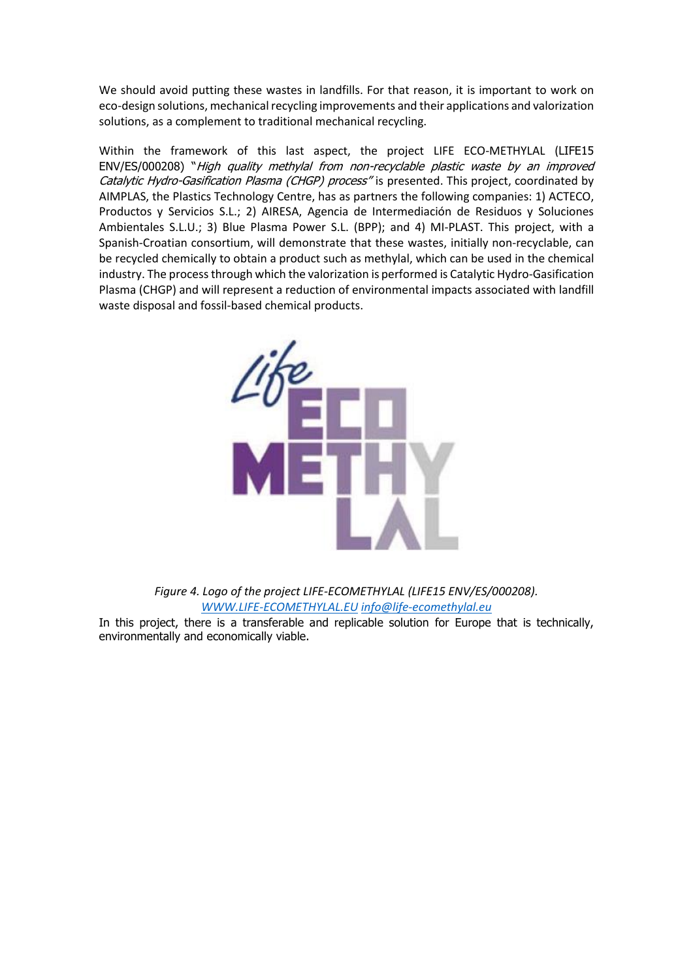We should avoid putting these wastes in landfills. For that reason, it is important to work on eco-design solutions, mechanical recycling improvements and their applications and valorization solutions, as a complement to traditional mechanical recycling.

Within the framework of this last aspect, the project LIFE ECO-METHYLAL (LIFE15 ENV/ES/000208) "High quality methylal from non-recyclable plastic waste by an improved Catalytic Hydro-Gasification Plasma (CHGP) process" is presented. This project, coordinated by AIMPLAS, the Plastics Technology Centre, has as partners the following companies: 1) ACTECO, Productos y Servicios S.L.; 2) AIRESA, Agencia de Intermediación de Residuos y Soluciones Ambientales S.L.U.; 3) Blue Plasma Power S.L. (BPP); and 4) MI-PLAST. This project, with a Spanish-Croatian consortium, will demonstrate that these wastes, initially non-recyclable, can be recycled chemically to obtain a product such as methylal, which can be used in the chemical industry. The process through which the valorization is performed is Catalytic Hydro-Gasification Plasma (CHGP) and will represent a reduction of environmental impacts associated with landfill waste disposal and fossil-based chemical products.



*Figure 4. Logo of the project LIFE-ECOMETHYLAL (LIFE15 ENV/ES/000208). [WWW.LIFE-ECOMETHYLAL.EU](http://www.life-ecomethylal.eu/) [info@life-ecomethylal.eu](mailto:info@life-ecomethylal.eu)*

In this project, there is a transferable and replicable solution for Europe that is technically, environmentally and economically viable.